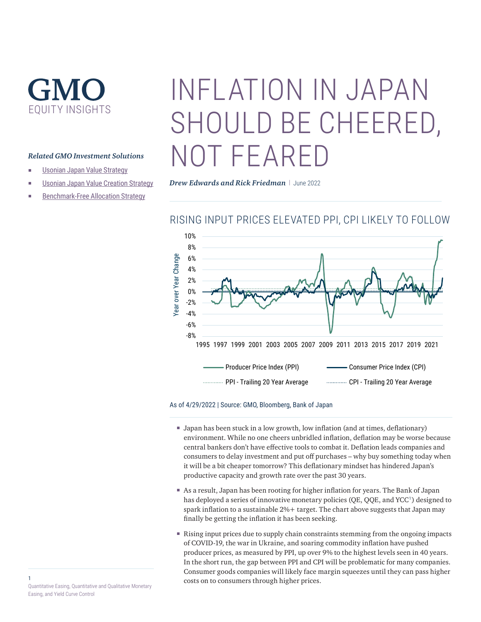# GMO EQUITY INSIGHTS

# *Related GMO Investment Solution[s](https://www.gmo.com/americas/product-index-page/equities/usonian-japan-value-creation-strategy/)*

- [Usonian Japan Value Strategy](https://www.gmo.com/americas/product-index-page/equities/usonian-japan-value-strategy/)
- [Usonian Japan Value Creation Strategy](https://www.gmo.com/americas/product-index-page/equities/usonian-japan-value-creation-strategy/)
- [Benchmark-Free Allocation Strategy](https://www.gmo.com/americas/product-index-page/multi-asset-class/benchmark-free-allocation-strategy/)

# INFLATION IN JAPAN SHOULD BE CHEERED, NOT FEARF

*Drew Edwards and Rick Friedman* | June 2022

# RISING INPUT PRICES ELEVATED PPI, CPI LIKELY TO FOLLOW



#### As of 4/29/2022 | Source: GMO, Bloomberg, Bank of Japan

- Japan has been stuck in a low growth, low inflation (and at times, deflationary) environment. While no one cheers unbridled inflation, deflation may be worse because central bankers don't have effective tools to combat it. Deflation leads companies and consumers to delay investment and put off purchases – why buy something today when it will be a bit cheaper tomorrow? This deflationary mindset has hindered Japan's productive capacity and growth rate over the past 30 years.
- As a result, Japan has been rooting for higher inflation for years. The Bank of Japan has deployed a series of innovative monetary policies (QE, QQE, and YCC<sup>1</sup>) designed to spark inflation to a sustainable 2%+ target. The chart above suggests that Japan may finally be getting the inflation it has been seeking.
- Rising input prices due to supply chain constraints stemming from the ongoing impacts of COVID-19, the war in Ukraine, and soaring commodity inflation have pushed producer prices, as measured by PPI, up over 9% to the highest levels seen in 40 years. In the short run, the gap between PPI and CPI will be problematic for many companies. Consumer goods companies will likely face margin squeezes until they can pass higher costs on to consumers through higher prices.

Quantitative Easing, Quantitative and Qualitative Monetary Easing, and Yield Curve Control